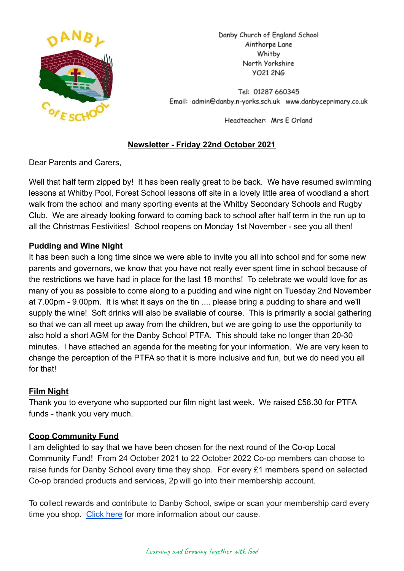

Danby Church of England School Ainthorpe Lane Whitby North Yorkshire **YO21 2NG** 

Tel: 01287 660345 Email: admin@danby.n-yorks.sch.uk www.danbyceprimary.co.uk

Headteacher: Mrs E Orland

# **Newsletter - Friday 22nd October 2021**

Dear Parents and Carers,

Well that half term zipped by! It has been really great to be back. We have resumed swimming lessons at Whitby Pool, Forest School lessons off site in a lovely little area of woodland a short walk from the school and many sporting events at the Whitby Secondary Schools and Rugby Club. We are already looking forward to coming back to school after half term in the run up to all the Christmas Festivities! School reopens on Monday 1st November - see you all then!

# **Pudding and Wine Night**

It has been such a long time since we were able to invite you all into school and for some new parents and governors, we know that you have not really ever spent time in school because of the restrictions we have had in place for the last 18 months! To celebrate we would love for as many of you as possible to come along to a pudding and wine night on Tuesday 2nd November at 7.00pm - 9.00pm. It is what it says on the tin .... please bring a pudding to share and we'll supply the wine! Soft drinks will also be available of course. This is primarily a social gathering so that we can all meet up away from the children, but we are going to use the opportunity to also hold a short AGM for the Danby School PTFA. This should take no longer than 20-30 minutes. I have attached an agenda for the meeting for your information. We are very keen to change the perception of the PTFA so that it is more inclusive and fun, but we do need you all for that!

# **Film Night**

Thank you to everyone who supported our film night last week. We raised £58.30 for PTFA funds - thank you very much.

## **Coop Community Fund**

I am delighted to say that we have been chosen for the next round of the Co-op Local Community Fund! From 24 October 2021 to 22 October 2022 Co-op members can choose to raise funds for Danby School every time they shop. For every £1 members spend on selected Co-op branded products and services, 2p will go into their membership account.

To collect rewards and contribute to Danby School, swipe or scan your membership card every time you shop. [Click here](https://co-operate.coop.co.uk/groups/danby-church-of-england-primary-school/) for more information about our cause.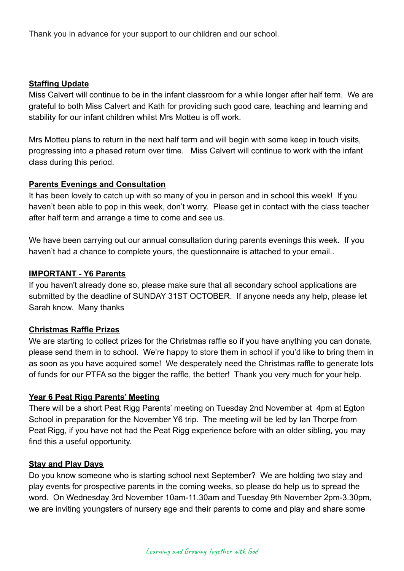Thank you in advance for your support to our children and our school.

#### **Staffing Update**

Miss Calvert will continue to be in the infant classroom for a while longer after half term. We are grateful to both Miss Calvert and Kath for providing such good care, teaching and learning and stability for our infant children whilst Mrs Motteu is off work.

Mrs Motteu plans to return in the next half term and will begin with some keep in touch visits, progressing into a phased return over time. Miss Calvert will continue to work with the infant class during this period.

#### **Parents Evenings and Consultation**

It has been lovely to catch up with so many of you in person and in school this week! If you haven't been able to pop in this week, don't worry. Please get in contact with the class teacher after half term and arrange a time to come and see us.

We have been carrying out our annual consultation during parents evenings this week. If you haven't had a chance to complete yours, the questionnaire is attached to your email..

#### **IMPORTANT - Y6 Parents**

If you haven't already done so, please make sure that all secondary school applications are submitted by the deadline of SUNDAY 31ST OCTOBER. If anyone needs any help, please let Sarah know. Many thanks

## **Christmas Raffle Prizes**

We are starting to collect prizes for the Christmas raffle so if you have anything you can donate, please send them in to school. We're happy to store them in school if you'd like to bring them in as soon as you have acquired some! We desperately need the Christmas raffle to generate lots of funds for our PTFA so the bigger the raffle, the better! Thank you very much for your help.

## **Year 6 Peat Rigg Parents' Meeting**

There will be a short Peat Rigg Parents' meeting on Tuesday 2nd November at 4pm at Egton School in preparation for the November Y6 trip. The meeting will be led by Ian Thorpe from Peat Rigg, if you have not had the Peat Rigg experience before with an older sibling, you may find this a useful opportunity.

#### **Stay and Play Days**

Do you know someone who is starting school next September? We are holding two stay and play events for prospective parents in the coming weeks, so please do help us to spread the word. On Wednesday 3rd November 10am-11.30am and Tuesday 9th November 2pm-3.30pm, we are inviting youngsters of nursery age and their parents to come and play and share some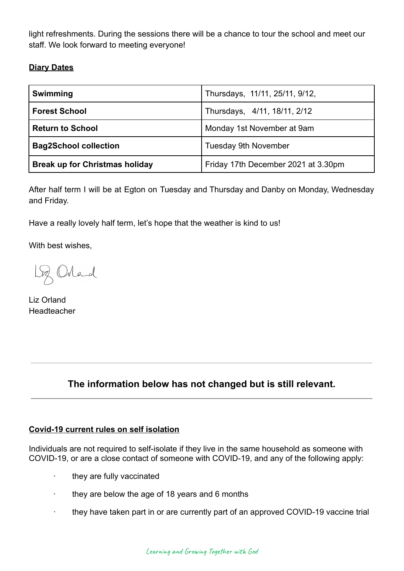light refreshments. During the sessions there will be a chance to tour the school and meet our staff. We look forward to meeting everyone!

# **Diary Dates**

| Swimming                              | Thursdays, 11/11, 25/11, 9/12,      |
|---------------------------------------|-------------------------------------|
| <b>Forest School</b>                  | Thursdays, 4/11, 18/11, 2/12        |
| <b>Return to School</b>               | Monday 1st November at 9am          |
| <b>Bag2School collection</b>          | <b>Tuesday 9th November</b>         |
| <b>Break up for Christmas holiday</b> | Friday 17th December 2021 at 3.30pm |

After half term I will be at Egton on Tuesday and Thursday and Danby on Monday, Wednesday and Friday.

Have a really lovely half term, let's hope that the weather is kind to us!

With best wishes,

Loz Orland

Liz Orland Headteacher

# **The information below has not changed but is still relevant.**

#### **Covid-19 current rules on self isolation**

Individuals are not required to self-isolate if they live in the same household as someone with COVID-19, or are a close contact of someone with COVID-19, and any of the following apply:

- · they are fully vaccinated
- · they are below the age of 18 years and 6 months
- · they have taken part in or are currently part of an approved COVID-19 vaccine trial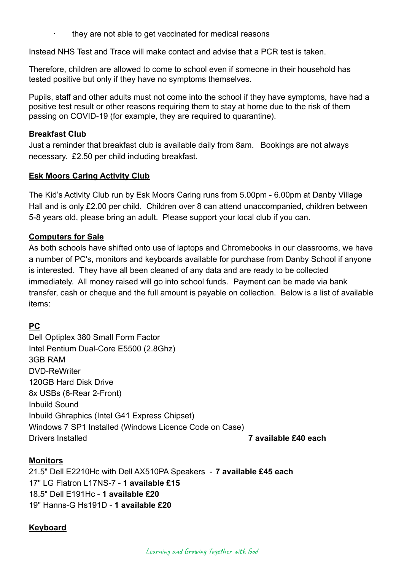they are not able to get vaccinated for medical reasons

Instead NHS Test and Trace will make contact and advise that a PCR test is taken.

Therefore, children are allowed to come to school even if someone in their household has tested positive but only if they have no symptoms themselves.

Pupils, staff and other adults must not come into the school if they have symptoms, have had a positive test result or other reasons requiring them to stay at home due to the risk of them passing on COVID-19 (for example, they are required to quarantine).

#### **Breakfast Club**

Just a reminder that breakfast club is available daily from 8am. Bookings are not always necessary. £2.50 per child including breakfast.

#### **Esk Moors Caring Activity Club**

The Kid's Activity Club run by Esk Moors Caring runs from 5.00pm - 6.00pm at Danby Village Hall and is only £2.00 per child. Children over 8 can attend unaccompanied, children between 5-8 years old, please bring an adult. Please support your local club if you can.

#### **Computers for Sale**

As both schools have shifted onto use of laptops and Chromebooks in our classrooms, we have a number of PC's, monitors and keyboards available for purchase from Danby School if anyone is interested. They have all been cleaned of any data and are ready to be collected immediately. All money raised will go into school funds. Payment can be made via bank transfer, cash or cheque and the full amount is payable on collection. Below is a list of available items:

## **PC**

Dell Optiplex 380 Small Form Factor Intel Pentium Dual-Core E5500 (2.8Ghz) 3GB RAM DVD-ReWriter 120GB Hard Disk Drive 8x USBs (6-Rear 2-Front) Inbuild Sound Inbuild Ghraphics (Intel G41 Express Chipset) Windows 7 SP1 Installed (Windows Licence Code on Case) Drivers Installed **7 available £40 each**

#### **Monitors**

21.5" Dell E2210Hc with Dell AX510PA Speakers - **7 available £45 each** 17" LG Flatron L17NS-7 - **1 available £15** 18.5" Dell E191Hc - **1 available £20** 19" Hanns-G Hs191D - **1 available £20**

## **Keyboard**